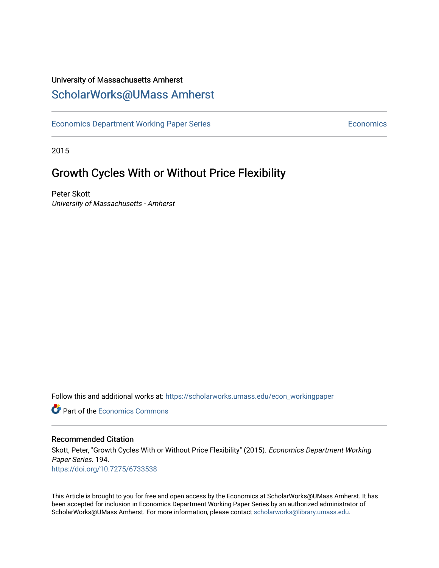## University of Massachusetts Amherst [ScholarWorks@UMass Amherst](https://scholarworks.umass.edu/)

[Economics Department Working Paper Series](https://scholarworks.umass.edu/econ_workingpaper) **Economics** Economics

2015

## Growth Cycles With or Without Price Flexibility

Peter Skott University of Massachusetts - Amherst

Follow this and additional works at: [https://scholarworks.umass.edu/econ\\_workingpaper](https://scholarworks.umass.edu/econ_workingpaper?utm_source=scholarworks.umass.edu%2Fecon_workingpaper%2F194&utm_medium=PDF&utm_campaign=PDFCoverPages) 

**C** Part of the [Economics Commons](http://network.bepress.com/hgg/discipline/340?utm_source=scholarworks.umass.edu%2Fecon_workingpaper%2F194&utm_medium=PDF&utm_campaign=PDFCoverPages)

#### Recommended Citation

Skott, Peter, "Growth Cycles With or Without Price Flexibility" (2015). Economics Department Working Paper Series. 194. <https://doi.org/10.7275/6733538>

This Article is brought to you for free and open access by the Economics at ScholarWorks@UMass Amherst. It has been accepted for inclusion in Economics Department Working Paper Series by an authorized administrator of ScholarWorks@UMass Amherst. For more information, please contact [scholarworks@library.umass.edu.](mailto:scholarworks@library.umass.edu)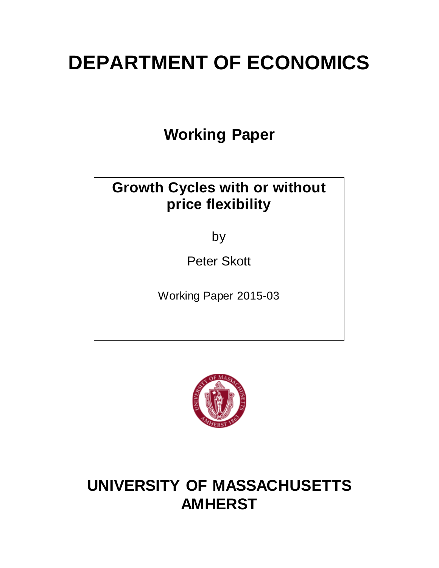# **DEPARTMENT OF ECONOMICS**

**Working Paper**

## **Growth Cycles with or without price flexibility**

by

Peter Skott

Working Paper 2015-03



## **UNIVERSITY OF MASSACHUSETTS AMHERST**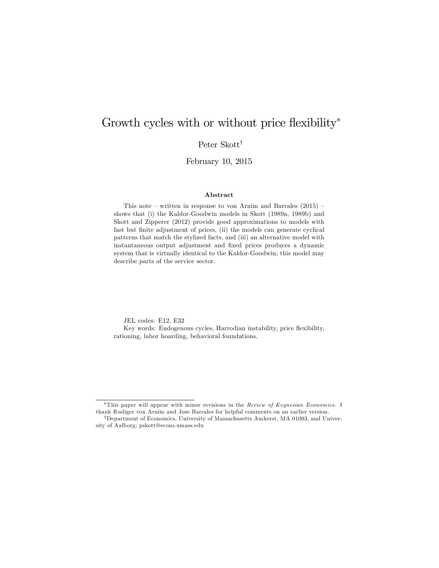## Growth cycles with or without price flexibility\*

Peter Skott<sup>†</sup>

February 10, 2015

#### Abstract

This note – written in response to von Arnim and Barrales  $(2015)$  – shows that (i) the Kaldor-Goodwin models in Skott (1989a, 1989b) and Skott and Zipperer (2012) provide good approximations to models with fast but finite adjustment of prices, (ii) the models can generate cyclical patterns that match the stylized facts, and (iii) an alternative model with instantaneous output adjustment and Öxed prices produces a dynamic system that is virtually identical to the Kaldor-Goodwin; this model may describe parts of the service sector.

JEL codes: E12, E32 Key words: Endogenous cycles, Harrodian instability, price flexibility, rationing, labor hoarding, behavioral foundations.

This paper will appear with minor revisions in the Review of Keynesian Economics. I thank Rudiger von Arnim and Jose Barrales for helpful comments on an earlier version.

<sup>&</sup>lt;sup>†</sup>Department of Economics, University of Massachusetts Amherst, MA 01003, and University of Aalborg; pskott@econs.umass.edu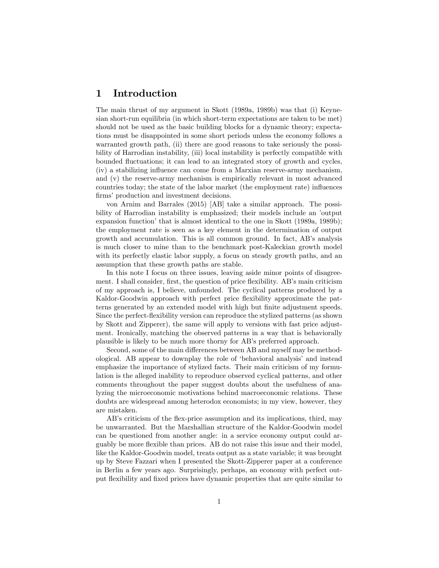## 1 Introduction

The main thrust of my argument in Skott (1989a, 1989b) was that (i) Keynesian short-run equilibria (in which short-term expectations are taken to be met) should not be used as the basic building blocks for a dynamic theory; expectations must be disappointed in some short periods unless the economy follows a warranted growth path, (ii) there are good reasons to take seriously the possibility of Harrodian instability, (iii) local instability is perfectly compatible with bounded fluctuations; it can lead to an integrated story of growth and cycles, (iv) a stabilizing ináuence can come from a Marxian reserve-army mechanism, and (v) the reserve-army mechanism is empirically relevant in most advanced countries today; the state of the labor market (the employment rate) influences firms' production and investment decisions.

von Arnim and Barrales (2015) [AB] take a similar approach. The possibility of Harrodian instability is emphasized; their models include an 'output expansion function' that is almost identical to the one in Skott  $(1989a, 1989b)$ ; the employment rate is seen as a key element in the determination of output growth and accumulation. This is all common ground. In fact, AB's analysis is much closer to mine than to the benchmark post-Kaleckian growth model with its perfectly elastic labor supply, a focus on steady growth paths, and an assumption that these growth paths are stable.

In this note I focus on three issues, leaving aside minor points of disagreement. I shall consider, first, the question of price flexibility. AB's main criticism of my approach is, I believe, unfounded. The cyclical patterns produced by a Kaldor-Goodwin approach with perfect price flexibility approximate the patterns generated by an extended model with high but finite adjustment speeds. Since the perfect-flexibility version can reproduce the stylized patterns (as shown by Skott and Zipperer), the same will apply to versions with fast price adjustment. Ironically, matching the observed patterns in a way that is behaviorally plausible is likely to be much more thorny for ABís preferred approach.

Second, some of the main differences between AB and myself may be methodological. AB appear to downplay the role of 'behavioral analysis' and instead emphasize the importance of stylized facts. Their main criticism of my formulation is the alleged inability to reproduce observed cyclical patterns, and other comments throughout the paper suggest doubts about the usefulness of analyzing the microeconomic motivations behind macroeconomic relations. These doubts are widespread among heterodox economists; in my view, however, they are mistaken.

AB's criticism of the flex-price assumption and its implications, third, may be unwarranted. But the Marshallian structure of the Kaldor-Goodwin model can be questioned from another angle: in a service economy output could arguably be more áexible than prices. AB do not raise this issue and their model, like the Kaldor-Goodwin model, treats output as a state variable; it was brought up by Steve Fazzari when I presented the Skott-Zipperer paper at a conference in Berlin a few years ago. Surprisingly, perhaps, an economy with perfect output flexibility and fixed prices have dynamic properties that are quite similar to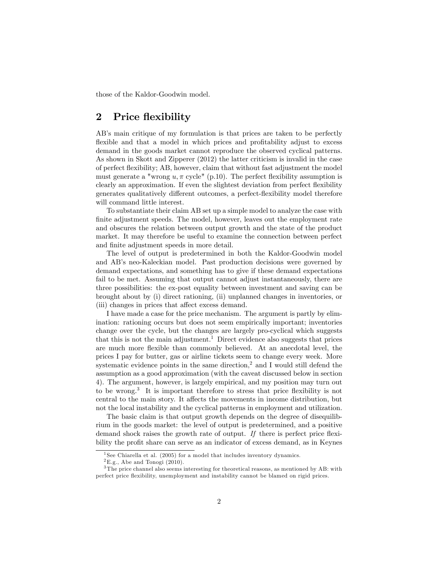those of the Kaldor-Goodwin model.

## 2 Price flexibility

AB's main critique of my formulation is that prices are taken to be perfectly flexible and that a model in which prices and profitability adjust to excess demand in the goods market cannot reproduce the observed cyclical patterns. As shown in Skott and Zipperer (2012) the latter criticism is invalid in the case of perfect áexibility; AB, however, claim that without fast adjustment the model must generate a "wrong  $u, \pi$  cycle" (p.10). The perfect flexibility assumption is clearly an approximation. If even the slightest deviation from perfect flexibility generates qualitatively different outcomes, a perfect-flexibility model therefore will command little interest.

To substantiate their claim AB set up a simple model to analyze the case with finite adjustment speeds. The model, however, leaves out the employment rate and obscures the relation between output growth and the state of the product market. It may therefore be useful to examine the connection between perfect and finite adjustment speeds in more detail.

The level of output is predetermined in both the Kaldor-Goodwin model and ABís neo-Kaleckian model. Past production decisions were governed by demand expectations, and something has to give if these demand expectations fail to be met. Assuming that output cannot adjust instantaneously, there are three possibilities: the ex-post equality between investment and saving can be brought about by (i) direct rationing, (ii) unplanned changes in inventories, or (iii) changes in prices that affect excess demand.

I have made a case for the price mechanism. The argument is partly by elimination: rationing occurs but does not seem empirically important; inventories change over the cycle, but the changes are largely pro-cyclical which suggests that this is not the main adjustment.<sup>1</sup> Direct evidence also suggests that prices are much more áexible than commonly believed. At an anecdotal level, the prices I pay for butter, gas or airline tickets seem to change every week. More systematic evidence points in the same direction, $\frac{2}{3}$  and I would still defend the assumption as a good approximation (with the caveat discussed below in section 4). The argument, however, is largely empirical, and my position may turn out to be wrong.<sup>3</sup> It is important therefore to stress that price flexibility is not central to the main story. It affects the movements in income distribution, but not the local instability and the cyclical patterns in employment and utilization.

The basic claim is that output growth depends on the degree of disequilibrium in the goods market: the level of output is predetermined, and a positive demand shock raises the growth rate of output. If there is perfect price flexibility the profit share can serve as an indicator of excess demand, as in Keynes

 $\sqrt[1]{\text{See Chiarella et al.} (2005)}$  for a model that includes inventory dynamics.

 ${}^{2}E.g.,$  Abe and Tonogi (2010).

<sup>&</sup>lt;sup>3</sup>The price channel also seems interesting for theoretical reasons, as mentioned by AB: with perfect price áexibility, unemployment and instability cannot be blamed on rigid prices.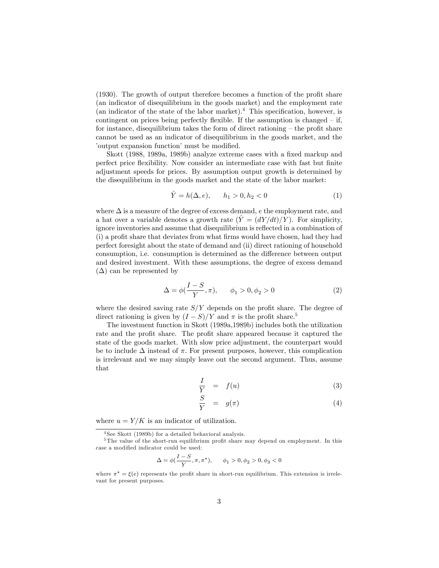$(1930)$ . The growth of output therefore becomes a function of the profit share (an indicator of disequilibrium in the goods market) and the employment rate (an indicator of the state of the labor market).<sup>4</sup> This specification, however, is contingent on prices being perfectly flexible. If the assumption is changed  $-$  if, for instance, disequilibrium takes the form of direct rationing  $-$  the profit share cannot be used as an indicator of disequilibrium in the goods market, and the 'output expansion function' must be modified.

Skott (1988, 1989a, 1989b) analyze extreme cases with a fixed markup and perfect price áexibility. Now consider an intermediate case with fast but Önite adjustment speeds for prices. By assumption output growth is determined by the disequilibrium in the goods market and the state of the labor market:

$$
\hat{Y} = h(\Delta, e), \qquad h_1 > 0, h_2 < 0 \tag{1}
$$

where  $\Delta$  is a measure of the degree of excess demand, e the employment rate, and a hat over a variable denotes a growth rate  $(Y = (dY/dt)/Y)$ . For simplicity, ignore inventories and assume that disequilibrium is reflected in a combination of (i) a profit share that deviates from what firms would have chosen, had they had perfect foresight about the state of demand and (ii) direct rationing of household consumption, i.e. consumption is determined as the difference between output and desired investment. With these assumptions, the degree of excess demand  $(\Delta)$  can be represented by

$$
\Delta = \phi(\frac{I - S}{Y}, \pi), \qquad \phi_1 > 0, \phi_2 > 0 \tag{2}
$$

where the desired saving rate  $S/Y$  depends on the profit share. The degree of direct rationing is given by  $(I - S)/Y$  and  $\pi$  is the profit share.<sup>5</sup>

The investment function in Skott (1989a,1989b) includes both the utilization rate and the profit share. The profit share appeared because it captured the state of the goods market. With slow price adjustment, the counterpart would be to include  $\Delta$  instead of  $\pi$ . For present purposes, however, this complication is irrelevant and we may simply leave out the second argument. Thus, assume that

$$
\frac{I}{Y} = f(u) \tag{3}
$$

$$
\frac{S}{Y} = g(\pi) \tag{4}
$$

where  $u = Y/K$  is an indicator of utilization.

$$
\Delta = \phi(\frac{I - S}{Y}, \pi, \pi^*), \qquad \phi_1 > 0, \phi_2 > 0, \phi_3 < 0
$$

<sup>4</sup> See Skott (1989b) for a detailed behavioral analysis.

 $5$ The value of the short-run equilibrium profit share may depend on employment. In this case a modified indicator could be used:

where  $\pi^* = \xi(e)$  represents the profit share in short-run equilibrium. This extension is irrelevant for present purposes.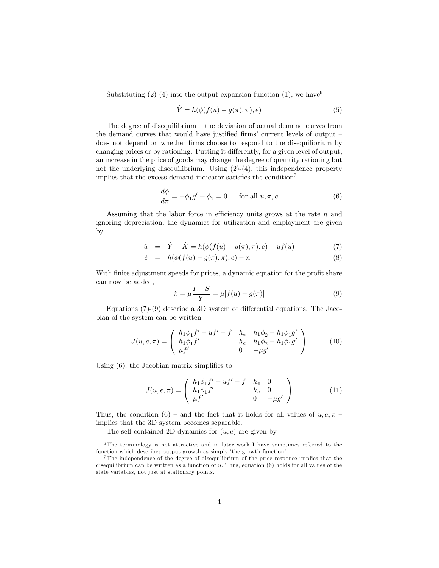Substituting  $(2)-(4)$  into the output expansion function  $(1)$ , we have<sup>6</sup>

$$
\hat{Y} = h(\phi(f(u) - g(\pi), \pi), e)
$$
\n(5)

The degree of disequilibrium  $-$  the deviation of actual demand curves from the demand curves that would have justified firms' current levels of output does not depend on whether Örms choose to respond to the disequilibrium by changing prices or by rationing. Putting it differently, for a given level of output, an increase in the price of goods may change the degree of quantity rationing but not the underlying disequilibrium. Using  $(2)-(4)$ , this independence property implies that the excess demand indicator satisfies the condition<sup>7</sup>

$$
\frac{d\phi}{d\pi} = -\phi_1 g' + \phi_2 = 0 \quad \text{for all } u, \pi, e
$$
 (6)

Assuming that the labor force in efficiency units grows at the rate  $n$  and ignoring depreciation, the dynamics for utilization and employment are given by

$$
\hat{u} = \hat{Y} - \hat{K} = h(\phi(f(u) - g(\pi), \pi), e) - uf(u) \tag{7}
$$

$$
\hat{e} = h(\phi(f(u) - g(\pi), \pi), e) - n \tag{8}
$$

With finite adjustment speeds for prices, a dynamic equation for the profit share can now be added,

$$
\dot{\pi} = \mu \frac{I - S}{Y} = \mu[f(u) - g(\pi)] \tag{9}
$$

Equations  $(7)-(9)$  describe a 3D system of differential equations. The Jacobian of the system can be written

$$
J(u, e, \pi) = \begin{pmatrix} h_1 \phi_1 f' - u f' - f & h_e & h_1 \phi_2 - h_1 \phi_1 g' \\ h_1 \phi_1 f' & h_e & h_1 \phi_2 - h_1 \phi_1 g' \\ \mu f' & 0 & -\mu g' \end{pmatrix}
$$
(10)

Using  $(6)$ , the Jacobian matrix simplifies to

$$
J(u, e, \pi) = \begin{pmatrix} h_1 \phi_1 f' - u f' - f & h_e & 0 \\ h_1 \phi_1 f' & h_e & 0 \\ \mu f' & 0 & -\mu g' \end{pmatrix}
$$
 (11)

Thus, the condition (6) – and the fact that it holds for all values of  $u, e, \pi$  – implies that the 3D system becomes separable.

The self-contained 2D dynamics for  $(u, e)$  are given by

<sup>6</sup> The terminology is not attractive and in later work I have sometimes referred to the function which describes output growth as simply 'the growth function'.

<sup>&</sup>lt;sup>7</sup>The independence of the degree of disequilibrium of the price response implies that the disequilibrium can be written as a function of u. Thus, equation (6) holds for all values of the state variables, not just at stationary points.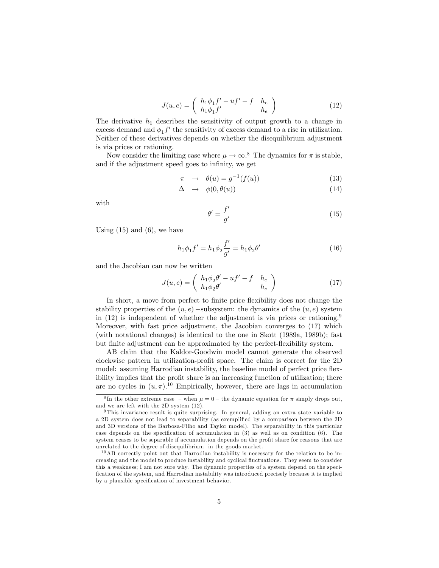$$
J(u,e) = \begin{pmatrix} h_1 \phi_1 f' - u f' - f & h_e \\ h_1 \phi_1 f' & h_e \end{pmatrix}
$$
 (12)

The derivative  $h_1$  describes the sensitivity of output growth to a change in excess demand and  $\phi_1 f'$  the sensitivity of excess demand to a rise in utilization. Neither of these derivatives depends on whether the disequilibrium adjustment is via prices or rationing.

Now consider the limiting case where  $\mu \to \infty$ .<sup>8</sup> The dynamics for  $\pi$  is stable, and if the adjustment speed goes to infinity, we get

$$
\pi \rightarrow \theta(u) = g^{-1}(f(u)) \tag{13}
$$

$$
\Delta \rightarrow \phi(0, \theta(u)) \tag{14}
$$

with

$$
\theta' = \frac{f'}{g'}\tag{15}
$$

Using  $(15)$  and  $(6)$ , we have

$$
h_1 \phi_1 f' = h_1 \phi_2 \frac{f'}{g'} = h_1 \phi_2 \theta'
$$
 (16)

and the Jacobian can now be written

$$
J(u,e) = \begin{pmatrix} h_1 \phi_2 \theta' - u f' - f & h_e \\ h_1 \phi_2 \theta' & h_e \end{pmatrix}
$$
 (17)

In short, a move from perfect to finite price flexibility does not change the stability properties of the  $(u, e)$  -subsystem: the dynamics of the  $(u, e)$  system in  $(12)$  is independent of whether the adjustment is via prices or rationing.<sup>9</sup> Moreover, with fast price adjustment, the Jacobian converges to (17) which (with notational changes) is identical to the one in Skott (1989a, 1989b); fast but finite adjustment can be approximated by the perfect-flexibility system.

AB claim that the Kaldor-Goodwin model cannot generate the observed clockwise pattern in utilization-profit space. The claim is correct for the 2D model: assuming Harrodian instability, the baseline model of perfect price flexibility implies that the profit share is an increasing function of utilization; there are no cycles in  $(u, \pi)$ .<sup>10</sup> Empirically, however, there are lags in accumulation

<sup>&</sup>lt;sup>8</sup>In the other extreme case – when  $\mu = 0$  – the dynamic equation for  $\pi$  simply drops out, and we are left with the 2D system (12).

<sup>&</sup>lt;sup>9</sup>This invariance result is quite surprising. In general, adding an extra state variable to a 2D system does not lead to separability (as exemplified by a comparison between the 2D and 3D versions of the Barbosa-Filho and Taylor model). The separability in this particular case depends on the specification of accumulation in  $(3)$  as well as on condition  $(6)$ . The system ceases to be separable if accumulation depends on the profit share for reasons that are unrelated to the degree of disequilibrium in the goods market.

 $10$ AB correctly point out that Harrodian instability is necessary for the relation to be increasing and the model to produce instability and cyclical fluctuations. They seem to consider this a weakness; I am not sure why. The dynamic properties of a system depend on the specification of the system, and Harrodian instability was introduced precisely because it is implied by a plausible specification of investment behavior.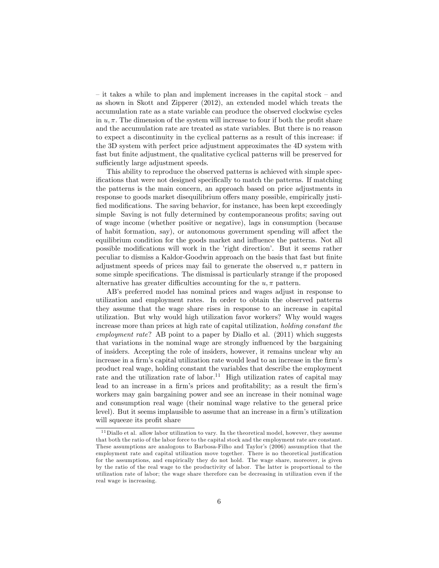$\overline{\phantom{a}}$  it takes a while to plan and implement increases in the capital stock  $\overline{\phantom{a}}$  and as shown in Skott and Zipperer (2012), an extended model which treats the accumulation rate as a state variable can produce the observed clockwise cycles in  $u, \pi$ . The dimension of the system will increase to four if both the profit share and the accumulation rate are treated as state variables. But there is no reason to expect a discontinuity in the cyclical patterns as a result of this increase: if the 3D system with perfect price adjustment approximates the 4D system with fast but finite adjustment, the qualitative cyclical patterns will be preserved for sufficiently large adjustment speeds.

This ability to reproduce the observed patterns is achieved with simple specifications that were not designed specifically to match the patterns. If matching the patterns is the main concern, an approach based on price adjustments in response to goods market disequilibrium offers many possible, empirically justified modifications. The saving behavior, for instance, has been kept exceedingly simple Saving is not fully determined by contemporaneous profits; saving out of wage income (whether positive or negative), lags in consumption (because of habit formation, say), or autonomous government spending will affect the equilibrium condition for the goods market and influence the patterns. Not all possible modifications will work in the 'right direction'. But it seems rather peculiar to dismiss a Kaldor-Goodwin approach on the basis that fast but Önite adjustment speeds of prices may fail to generate the observed  $u, \pi$  pattern in some simple specifications. The dismissal is particularly strange if the proposed alternative has greater difficulties accounting for the  $u, \pi$  pattern.

AB's preferred model has nominal prices and wages adjust in response to utilization and employment rates. In order to obtain the observed patterns they assume that the wage share rises in response to an increase in capital utilization. But why would high utilization favor workers? Why would wages increase more than prices at high rate of capital utilization, holding constant the employment rate? AB point to a paper by Diallo et al. (2011) which suggests that variations in the nominal wage are strongly influenced by the bargaining of insiders. Accepting the role of insiders, however, it remains unclear why an increase in a firm's capital utilization rate would lead to an increase in the firm's product real wage, holding constant the variables that describe the employment rate and the utilization rate of labor.<sup>11</sup> High utilization rates of capital may lead to an increase in a firm's prices and profitability; as a result the firm's workers may gain bargaining power and see an increase in their nominal wage and consumption real wage (their nominal wage relative to the general price level). But it seems implausible to assume that an increase in a firm's utilization will squeeze its profit share

 $11$  Diallo et al. allow labor utilization to vary. In the theoretical model, however, they assume that both the ratio of the labor force to the capital stock and the employment rate are constant. These assumptions are analogous to Barbosa-Filho and Taylor's (2006) assumption that the employment rate and capital utilization move together. There is no theoretical justification for the assumptions, and empirically they do not hold. The wage share, moreover, is given by the ratio of the real wage to the productivity of labor. The latter is proportional to the utilization rate of labor; the wage share therefore can be decreasing in utilization even if the real wage is increasing.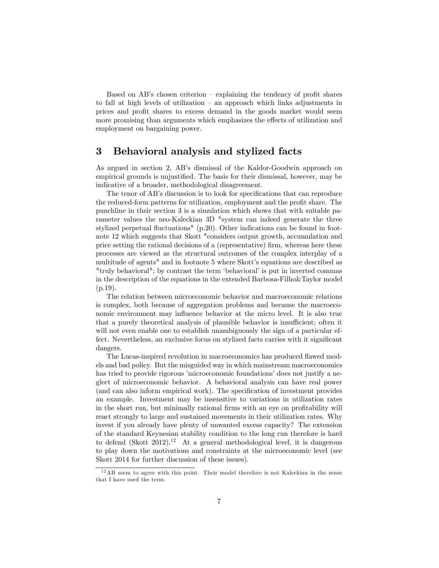Based on  $AB$ 's chosen criterion  $-\exp\{a\}$  explaining the tendency of profit shares to fall at high levels of utilization  $-$  an approach which links adjustments in prices and profit shares to excess demand in the goods market would seem more promising than arguments which emphasizes the effects of utilization and employment on bargaining power.

### 3 Behavioral analysis and stylized facts

As argued in section 2, AB's dismissal of the Kaldor-Goodwin approach on empirical grounds is unjustified. The basis for their dismissal, however, may be indicative of a broader, methodological disagreement.

The tenor of AB's discussion is to look for specifications that can reproduce the reduced-form patterns for utilization, employment and the profit share. The punchline in their section 3 is a simulation which shows that with suitable parameter values the neo-Kaleckian 3D "system can indeed generate the three stylized perpetual fluctuations"  $(p.20)$ . Other indications can be found in footnote 12 which suggests that Skott "considers output growth, accumulation and price setting the rational decisions of a (representative) firm, whereas here these processes are viewed as the structural outcomes of the complex interplay of a multitude of agents" and in footnote 5 where Skott's equations are described as "truly behavioral"; by contrast the term 'behavioral' is put in inverted commas in the description of the equations in the extended Barbosa-Filho&Taylor model (p.19).

The relation between microeconomic behavior and macroeconomic relations is complex, both because of aggregation problems and because the macroeconomic environment may influence behavior at the micro level. It is also true that a purely theoretical analysis of plausible behavior is insufficient; often it will not even enable one to establish unambiguously the sign of a particular effect. Nevertheless, an exclusive focus on stylized facts carries with it significant dangers.

The Lucas-inspired revolution in macroeconomics has produced flawed models and bad policy. But the misguided way in which mainstream macroeconomics has tried to provide rigorous 'microeconomic foundations' does not justify a neglect of microeconomic behavior. A behavioral analysis can have real power (and can also inform empirical work). The specification of investment provides an example. Investment may be insensitive to variations in utilization rates in the short run, but minimally rational firms with an eye on profitability will react strongly to large and sustained movements in their utilization rates. Why invest if you already have plenty of unwanted excess capacity? The extension of the standard Keynesian stability condition to the long run therefore is hard to defend (Skott  $2012$ ).<sup>12</sup> At a general methodological level, it is dangerous to play down the motivations and constraints at the microeconomic level (see Skott 2014 for further discussion of these issues).

 $12$ AB seem to agree with this point. Their model therefore is not Kaleckian in the sense that I have used the term.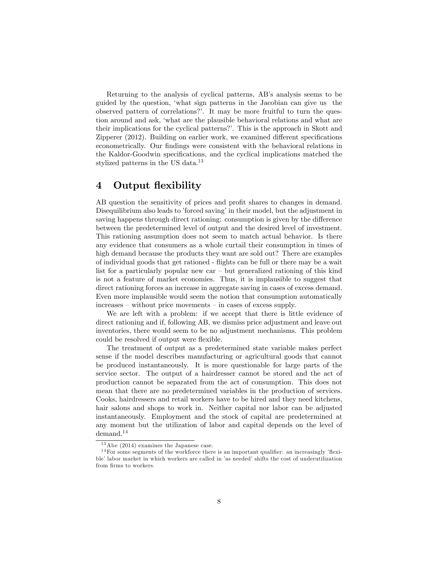Returning to the analysis of cyclical patterns, AB's analysis seems to be guided by the question, ëwhat sign patterns in the Jacobian can give us the observed pattern of correlations?. It may be more fruitful to turn the question around and ask, ëwhat are the plausible behavioral relations and what are their implications for the cyclical patterns?. This is the approach in Skott and Zipperer  $(2012)$ . Building on earlier work, we examined different specifications econometrically. Our findings were consistent with the behavioral relations in the Kaldor-Goodwin specifications, and the cyclical implications matched the stylized patterns in the US data.<sup>13</sup>

### 4 Output flexibility

AB question the sensitivity of prices and profit shares to changes in demand. Disequilibrium also leads to 'forced saving' in their model, but the adjustment in saving happens through direct rationing: consumption is given by the difference between the predetermined level of output and the desired level of investment. This rationing assumption does not seem to match actual behavior. Is there any evidence that consumers as a whole curtail their consumption in times of high demand because the products they want are sold out? There are examples of individual goods that get rationed - flights can be full or there may be a wait list for a particularly popular new car  $-$  but generalized rationing of this kind is not a feature of market economies. Thus, it is implausible to suggest that direct rationing forces an increase in aggregate saving in cases of excess demand. Even more implausible would seem the notion that consumption automatically  $increases$  – without price movements – in cases of excess supply.

We are left with a problem: if we accept that there is little evidence of direct rationing and if, following AB, we dismiss price adjustment and leave out inventories, there would seem to be no adjustment mechanisms. This problem could be resolved if output were flexible.

The treatment of output as a predetermined state variable makes perfect sense if the model describes manufacturing or agricultural goods that cannot be produced instantaneously. It is more questionable for large parts of the service sector. The output of a hairdresser cannot be stored and the act of production cannot be separated from the act of consumption. This does not mean that there are no predetermined variables in the production of services. Cooks, hairdressers and retail workers have to be hired and they need kitchens, hair salons and shops to work in. Neither capital nor labor can be adjusted instantaneously. Employment and the stock of capital are predetermined at any moment but the utilization of labor and capital depends on the level of demand.<sup>14</sup>

 $13$  Abe (2014) examines the Japanese case.

 $14$  For some segments of the workforce there is an important qualifier: an increasingly 'flexible' labor market in which workers are called in 'as needed' shifts the cost of underutilization from firms to workers.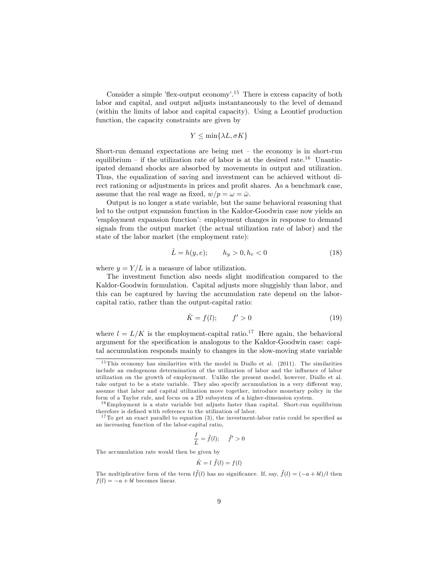Consider a simple 'flex-output economy'.<sup>15</sup> There is excess capacity of both labor and capital, and output adjusts instantaneously to the level of demand (within the limits of labor and capital capacity). Using a Leontief production function, the capacity constraints are given by

$$
Y \le \min\{\lambda L, \sigma K\}
$$

Short-run demand expectations are being met  $-$  the economy is in short-run equilibrium – if the utilization rate of labor is at the desired rate.<sup>16</sup> Unanticipated demand shocks are absorbed by movements in output and utilization. Thus, the equalization of saving and investment can be achieved without direct rationing or adjustments in prices and profit shares. As a benchmark case, assume that the real wage as fixed,  $w/p = \omega = \bar{\omega}$ .

Output is no longer a state variable, but the same behavioral reasoning that led to the output expansion function in the Kaldor-Goodwin case now yields an 'employment expansion function': employment changes in response to demand signals from the output market (the actual utilization rate of labor) and the state of the labor market (the employment rate):

$$
\hat{L} = h(y, e); \qquad h_y > 0, h_e < 0 \tag{18}
$$

where  $y = Y/L$  is a measure of labor utilization.

The investment function also needs slight modification compared to the Kaldor-Goodwin formulation. Capital adjusts more sluggishly than labor, and this can be captured by having the accumulation rate depend on the laborcapital ratio, rather than the output-capital ratio:

$$
\hat{K} = f(l); \qquad f' > 0 \tag{19}
$$

where  $l = L/K$  is the employment-capital ratio.<sup>17</sup> Here again, the behavioral argument for the specification is analogous to the Kaldor-Goodwin case: capital accumulation responds mainly to changes in the slow-moving state variable

$$
\frac{I}{L} = \tilde{f}(l); \quad \tilde{f}' > 0
$$

The accumulation rate would then be given by

$$
\hat{K} = l \ \tilde{f}(l) = f(l)
$$

 $15$  This economy has similarities with the model in Diallo et al. (2011). The similarities include an endogenous determination of the utilization of labor and the influence of labor utilization on the growth of employment. Unlike the present model, however, Diallo et al. take output to be a state variable. They also specify accumulation in a very different way, assume that labor and capital utilization move together, introduce monetary policy in the form of a Taylor rule, and focus on a 2D subsystem of a higher-dimension system.

 $16$ Employment is a state variable but adjusts faster than capital. Short-run equilibrium therefore is defined with reference to the utilization of labor.

 $17$  To get an exact parallel to equation (3), the investment-labor ratio could be specified as an increasing function of the labor-capital ratio,

The multiplicative form of the term  $l\tilde{f}(l)$  has no significance. If, say,  $\tilde{f}(l) = (-a + bl)/l$  then  $f(l) = -a + bl$  becomes linear.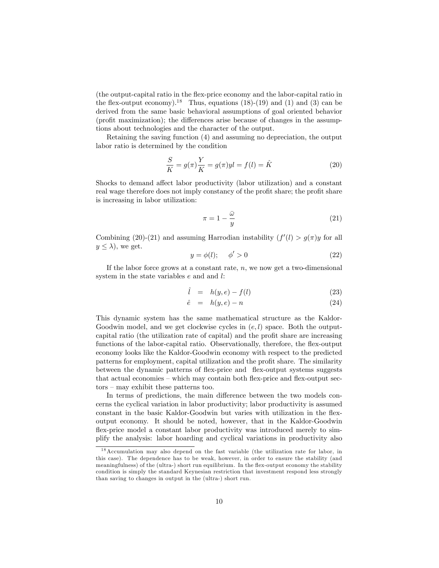(the output-capital ratio in the áex-price economy and the labor-capital ratio in the flex-output economy).<sup>18</sup> Thus, equations (18)-(19) and (1) and (3) can be derived from the same basic behavioral assumptions of goal oriented behavior (profit maximization); the differences arise because of changes in the assumptions about technologies and the character of the output.

Retaining the saving function (4) and assuming no depreciation, the output labor ratio is determined by the condition

$$
\frac{S}{K} = g(\pi) \frac{Y}{K} = g(\pi) y l = f(l) = \hat{K}
$$
\n(20)

Shocks to demand affect labor productivity (labor utilization) and a constant real wage therefore does not imply constancy of the profit share; the profit share is increasing in labor utilization:

$$
\pi = 1 - \frac{\bar{\omega}}{y} \tag{21}
$$

Combining (20)-(21) and assuming Harrodian instability  $(f'(l) > g(\pi)y)$  for all  $y \leq \lambda$ , we get.

$$
y = \phi(l); \quad \phi' > 0 \tag{22}
$$

If the labor force grows at a constant rate,  $n$ , we now get a two-dimensional system in the state variables e and and l:

$$
\hat{l} = h(y, e) - f(l) \tag{23}
$$

$$
\hat{e} = h(y, e) - n \tag{24}
$$

This dynamic system has the same mathematical structure as the Kaldor-Goodwin model, and we get clockwise cycles in  $(e, l)$  space. Both the outputcapital ratio (the utilization rate of capital) and the profit share are increasing functions of the labor-capital ratio. Observationally, therefore, the flex-output economy looks like the Kaldor-Goodwin economy with respect to the predicted patterns for employment, capital utilization and the profit share. The similarity between the dynamic patterns of flex-price and flex-output systems suggests that actual economies  $-$  which may contain both flex-price and flex-output sec $tors - may exhibit these patterns too.$ 

In terms of predictions, the main difference between the two models concerns the cyclical variation in labor productivity; labor productivity is assumed constant in the basic Kaldor-Goodwin but varies with utilization in the flexoutput economy. It should be noted, however, that in the Kaldor-Goodwin flex-price model a constant labor productivity was introduced merely to simplify the analysis: labor hoarding and cyclical variations in productivity also

 $1<sup>8</sup>$  Accumulation may also depend on the fast variable (the utilization rate for labor, in this case). The dependence has to be weak, however, in order to ensure the stability (and meaningfulness) of the (ultra-) short run equilibrium. In the flex-output economy the stability condition is simply the standard Keynesian restriction that investment respond less strongly than saving to changes in output in the (ultra-) short run.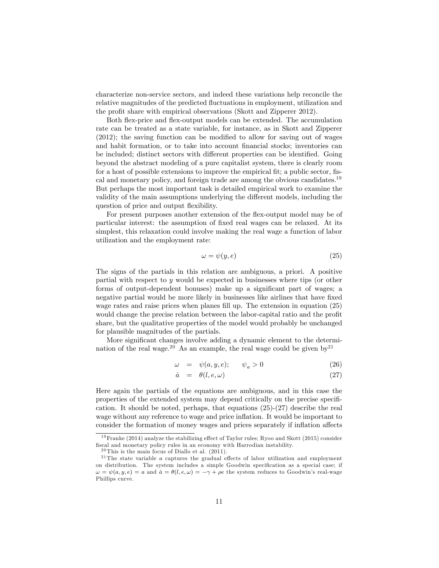characterize non-service sectors, and indeed these variations help reconcile the relative magnitudes of the predicted fluctuations in employment, utilization and the profit share with empirical observations (Skott and Zipperer 2012).

Both áex-price and áex-output models can be extended. The accumulation rate can be treated as a state variable, for instance, as in Skott and Zipperer  $(2012)$ ; the saving function can be modified to allow for saving out of wages and habit formation, or to take into account financial stocks; inventories can be included; distinct sectors with different properties can be identified. Going beyond the abstract modeling of a pure capitalist system, there is clearly room for a host of possible extensions to improve the empirical fit; a public sector, fiscal and monetary policy, and foreign trade are among the obvious candidates.<sup>19</sup> But perhaps the most important task is detailed empirical work to examine the validity of the main assumptions underlying the different models, including the question of price and output flexibility.

For present purposes another extension of the flex-output model may be of particular interest: the assumption of Öxed real wages can be relaxed. At its simplest, this relaxation could involve making the real wage a function of labor utilization and the employment rate:

$$
\omega = \psi(y, e) \tag{25}
$$

The signs of the partials in this relation are ambiguous, a priori. A positive partial with respect to y would be expected in businesses where tips (or other forms of output-dependent bonuses) make up a significant part of wages; a negative partial would be more likely in businesses like airlines that have fixed wage rates and raise prices when planes fill up. The extension in equation  $(25)$ would change the precise relation between the labor-capital ratio and the profit share, but the qualitative properties of the model would probably be unchanged for plausible magnitudes of the partials.

More significant changes involve adding a dynamic element to the determination of the real wage.<sup>20</sup> As an example, the real wage could be given by<sup>21</sup>

$$
\omega = \psi(a, y, e); \qquad \psi_a > 0 \tag{26}
$$

$$
\dot{a} = \theta(l, e, \omega) \tag{27}
$$

Here again the partials of the equations are ambiguous, and in this case the properties of the extended system may depend critically on the precise specification. It should be noted, perhaps, that equations (25)-(27) describe the real wage without any reference to wage and price inflation. It would be important to consider the formation of money wages and prices separately if inflation affects

<sup>&</sup>lt;sup>19</sup> Franke (2014) analyze the stabilizing effect of Taylor rules; Ryoo and Skott (2015) consider fiscal and monetary policy rules in an economy with Harrodian instability.

 $20$  This is the main focus of Diallo et al. (2011).

 $21$ The state variable  $\alpha$  captures the gradual effects of labor utilization and employment on distribution. The system includes a simple Goodwin specification as a special case; if  $\omega = \psi(a, y, e) = a$  and  $\dot{a} = \theta(l, e, \omega) = -\gamma + \rho e$  the system reduces to Goodwin's real-wage Phillips curve.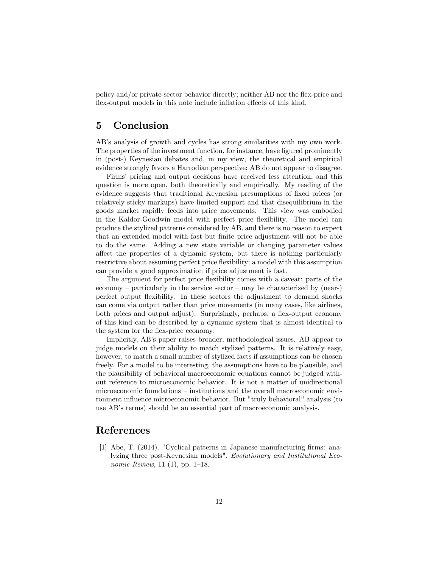policy and/or private-sector behavior directly; neither AB nor the áex-price and flex-output models in this note include inflation effects of this kind.

## 5 Conclusion

ABís analysis of growth and cycles has strong similarities with my own work. The properties of the investment function, for instance, have figured prominently in (post-) Keynesian debates and, in my view, the theoretical and empirical evidence strongly favors a Harrodian perspective; AB do not appear to disagree.

Firms' pricing and output decisions have received less attention, and this question is more open, both theoretically and empirically. My reading of the evidence suggests that traditional Keynesian presumptions of fixed prices (or relatively sticky markups) have limited support and that disequilibrium in the goods market rapidly feeds into price movements. This view was embodied in the Kaldor-Goodwin model with perfect price flexibility. The model can produce the stylized patterns considered by AB, and there is no reason to expect that an extended model with fast but finite price adjustment will not be able to do the same. Adding a new state variable or changing parameter values a§ect the properties of a dynamic system, but there is nothing particularly restrictive about assuming perfect price áexibility; a model with this assumption can provide a good approximation if price adjustment is fast.

The argument for perfect price áexibility comes with a caveat: parts of the economy  $-$  particularly in the service sector  $-$  may be characterized by (near-) perfect output áexibility. In these sectors the adjustment to demand shocks can come via output rather than price movements (in many cases, like airlines, both prices and output adjust). Surprisingly, perhaps, a áex-output economy of this kind can be described by a dynamic system that is almost identical to the system for the flex-price economy.

Implicitly, AB's paper raises broader, methodological issues. AB appear to judge models on their ability to match stylized patterns. It is relatively easy, however, to match a small number of stylized facts if assumptions can be chosen freely. For a model to be interesting, the assumptions have to be plausible, and the plausibility of behavioral macroeconomic equations cannot be judged without reference to microeconomic behavior. It is not a matter of unidirectional microeconomic foundations – institutions and the overall macroeconomic environment influence microeconomic behavior. But "truly behavioral" analysis (to use ABís terms) should be an essential part of macroeconomic analysis.

#### References

[1] Abe, T. (2014). "Cyclical patterns in Japanese manufacturing Örms: analyzing three post-Keynesian models". Evolutionary and Institutional Economic Review, 11 (1), pp. 1–18.